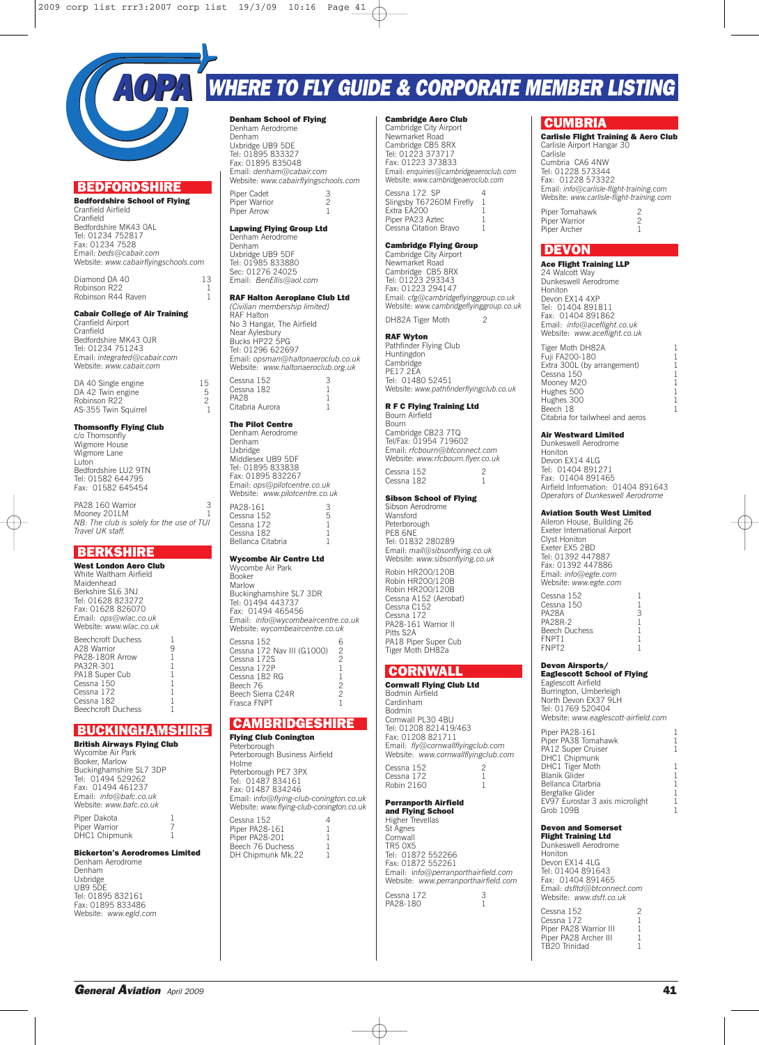

#### **BEDFORDSHIRE**

**Bedfordshire School of Flying** Cranfield Airfield Cranfield Bedfordshire MK43 0AL Tel: 01234 752817 Fax: 01234 7528 Email: *beds@cabair.com* Website: *www.cabairflyingschools.com*

Diamond DA 40 13 Robinson R22 1 Robinson R44 Raven 1

#### **Cabair College of Air Training**

Cranfield Airport Cranfield Bedfordshire MK43 OJR Tel: 01234 751243 Email: *integrated@cabair.com* Website: *www.cabair.com*

DA 40 Single engine 15<br>
DA 42 Twin engine 5<br>
Robinson R22 2 DA 42 Twin engine Provide the term engine<br>Robinson R22 2<br>AS-355 Twin Squirrel 1 AS-355 Twin Squirrel

#### **Thomsonfly Flying Club**

c/o Thomsonfly Wigmore House Wigmore Lane Luton Bedfordshire LU2 9TN Tel: 01582 644795 Fax: 01582 645454

PA28 160 Warrior Mooney 201LM 1 *NB: The club is solely for the use of TUI Travel UK staff.*

#### **BERKSHIRE**

**West London Aero Club** White Waltham Airfield Maidenhead Berkshire SL6 3NJ Tel: 01628 823272 Fax: 01628 826070 Email: *ops@wlac.co.uk* Website: *www.wlac.co.uk*

Beechcroft Duchess 1<br>A28 Warrior 1 A28 Warrior 9 PA28-180R Arrow 1 PA32R-301 PA18 Super Cub  $Cessna 150$ Cessna 172  $Cessna 182$ Beechcroft Duchess 1

#### **BUCKINGHAMSHIRE**

**British Airways Flying Club** Wycombe Air Park Booker, Marlow Buckinghamshire SL7 3DP Tel: 01494 529262 Fax: 01494 461237 Email: *info@bafc.co.uk* Website: *www.bafc.co.uk* Piner Dakota

Piper Warrior DHC1 Chipmunk

#### **Bickerton's Aerodromes Limited**

Denham Aerodrome Denham Uxbridge UB9 5DE Tel: 01895 832161 Fax: 01895 833486 Website: *www.egld.com*

# *AOPA WHERE TO FLY GUIDE & CORPORATE MEMBER LISTING*

**Denham School of Flying** Denham Aerodrome Denham Uxbridge UB9 5DE Tel: 01895 833327 Fax: 01895 835048 Email: *denham@cabair.com* Website: *www.cabairflyingschools.com* Piner Cadet 3 Piper Warrior 2<br>Piper Warrior 2<br>Piper Arrow 2 Piner Arrow

#### **Lapwing Flying Group Ltd** Denham Aerodrome Denham

#### Uxbridge UB9 5DF Tel: 01985 833880 Sec: 01276 24025 Email: *BenEllis@aol.com*

#### **RAF Halton Aeroplane Club Ltd**

*(Civilian membership limited)* RAF Halton No 3 Hangar, The Airfield Near Aylesbury Bucks HP22 5PG Tel: 01296 622697 Email: *opsman@haltonaeroclub.co.uk* Website: *www.haltonaeroclub.org.uk* Cessna 152 3

Cessna 182 1 PA28 1 Citabria Aurora 1

**The Pilot Centre** Denham Aerodrome Denham Uxbridge Middlesex UB9 5DF Tel: 01895 833838 Fax: 01895 832267 Email: *ops@pilotcentre.co.uk* Website: *www.pilotcentre.co.uk* PA28-161 3 Cessna 152<br>Cessna 172 1 Cessna 172 Cessna 182<br>Rellanca Citabria 1 Bellanca Citabria 1

#### **Wycombe Air Centre Ltd** Wycombe Air Park

Booker Marlow Buckinghamshire SL7 3DR Tel: 01494 443737 Fax: 01494 465456 Email: *info@wycombeaircentre.co.uk* Website: *wycombeaircentre.co.uk* Cessna 152 6

| Cessna 172 Nav III (G1000) |  |
|----------------------------|--|
| Cessna 172S                |  |
| Cessna 172P                |  |
| Cessna 182 RG              |  |
| Beech 76                   |  |
| Beech Sierra C24R          |  |
| Frasca FNPT                |  |
|                            |  |

#### **CAMBRIDGESHIRE Flying Club Conington**

Peterborough Peterborough Business Airfield

Holme Peterborough PE7 3PX Tel: 01487 834161 Fax: 01487 834246 Email: i*nfo@flying-club-conington.co.uk* Website: *www.flying-club-conington.co.uk*

| Cessna 152        | 4 |
|-------------------|---|
| Piper PA28-161    | 1 |
| Piper PA28-201    | 1 |
| Beech 76 Duchess  | 1 |
| DH Chipmunk Mk.22 | 1 |

**Cambridge Aero Club** Cambridge City Airport Newmarket Road Cambridge CB5 8RX Tel: 01223 373717 Fax: 01223 373833 Email: *enquiries@cambridgeaeroclub.com* Website: *www.cambridgeaeroclub.com* Cessna 172 SP 4 Slingsby T67260M Firefly 1 Extra EA200 1

Piper PA23 Aztec Cessna Citation Bravo 1

#### **Cambridge Flying Group** Cambridge City Airport

Newmarket Road Cambridge CB5 8RX Tel: 01223 293343 Fax: 01223 294147 Email: *cfg@cambridgeflyinggroup.co.uk* Website: *www.cambridgeflyinggroup.co.uk* DH82A Tiger Moth 2

**RAF Wyton** Pathfinder Flying Club Huntingdon Cambridge PE17 2EA Tel: 01480 52451 Website: *www.pathfinderflyingclub.co.uk*

#### **R F C Flying Training Ltd** Bourn Airfield

Bourn Cambridge CB23 7TQ Tel/Fax: 01954 719602 Email: *rfcbourn@btconnect.com* Website: *www.rfcbourn.flyer.co.uk* Cessna 152 2 Cessna 182

**Sibson School of Flying**

Sibson Aerodrome Wansford Peterborough PE8 6NE Tel: 01832 280289 Email: *mail@sibsonflying.co.uk* Website: *www.sibsonflying.co.uk* Robin HR200/120B Robin HR200/120B Robin HR200/120B Cessna A152 (Aerobat) Cessna C152 Cessna 172 PA28-161 Warrior II Pitts S2A PA18 Piper Super Cub

Tiger Moth DH82a

#### **CORNWALL**

**Cornwall Flying Club Ltd** Bodmin Airfield Cardinham Bodmin Cornwall PL30 4BU Tel: 01208 821419/463 Fax: 01208 821711 Email: *fly@cornwallflyingclub.com* Website: *www.cornwallflyingclub.com* Cessna 152 2 Cessna 172

#### **Perranporth Airfield and Flying School**

Robin 2160 1

Higher Trevellas St Agnes **Cornwall** TR5 0X5 Tel: 01872 552266 Fax: 01872 552261 Email: i*nfo@perranporthairfield.com* Website: *www.perranporthairfield.com*

Cessna 172 PA28-180

#### **CUMBRIA**

**Carlisle Flight Training & Aero Club** Carlisle Airport Hangar 30 **Carlisle** Cumbria CA6 4NW Tel: 01228 573344 Fax: 01228 573322 Email: *info@carlisle-flight-training.com* Website: *www.carlisle-flight-training.com* Piner Tomahawk 2 Piper Warrior 2<br>Piper Warrior 2<br>Piper Archer 2

#### **DEVON**

Piper Archer 1

#### **Ace Flight Training LLP**

24 Walcott Way Dunkeswell Aerodrome **Honiton** Devon EX14 4XP Tel: 01404 891811 Fax: 01404 891862 Email: *info@aceflight.co.uk* Website: *www.aceflight.co.uk*

| Tiger Moth DH82A                 |   |
|----------------------------------|---|
| Fuji FA200-180                   | 1 |
| Extra 300L (by arrangement)      | 1 |
| Cessna 150                       | 1 |
| Mooney M20                       | 1 |
| Hughes 500                       | 1 |
| Hughes 300                       | 1 |
| Beech 18                         | 1 |
| Citabria for tailwheel and aeros |   |
|                                  |   |

#### **Air Westward Limited** Dunkeswell Aerodrome

Honiton Devon EX14 4LG Tel: 01404 891271 Fax: 01404 891465 Airfield Information: 01404 891643 *Operators of Dunkeswell Aerodrome*

#### **Aviation South West Limited**

Aileron House, Building 26 Exeter International Airport Clyst Honiton Exeter EX5 2BD Tel: 01392 447887 Fax: 01392 447886 Email: *info@egte.com* Website: *www.egte.com*

Cessna 152 Cessna 150<br>PA28A PA28A 3 PA28R-2 1 Beech Duchess 1<br>FNPT1 1 FNPT2

#### **Devon Airsports/**

**Eaglescott School of Flying** Eaglescott Airfield Burrington, Umberleigh North Devon EX37 9LH Tel: 01769 520404 Website: *www.eaglescott-airfield.com*

Piper PA28-161 Piper PA38 Tomahawk 1 PA12 Super Cruiser 1 DHC1 Chipmunk DHC1 Tiger Moth Blanik Glider 1 Bellanca Citarbria Bergfalke Glider 1 EV97 Eurostar 3 axis microlight 1 **Grob 109B** 

#### **Devon and Somerset Flight Training Ltd**

Dunkeswell Aerodrome Honiton Devon FX14 4LG Tel: 01404 891643 Fax: 01404 891465 Email: *dsfltd@btconnect.com* Website: *www.dsft.co.uk*

Cessna 152 Cessna 172<br>Cessna 172 1<br>Piner PA28 Warrior III 1 Piper PA28 Warrior III Piper PA28 Archer III 1<br>Piper PA28 Archer III 1<br>TR20 Trinidad TR20 Trinidad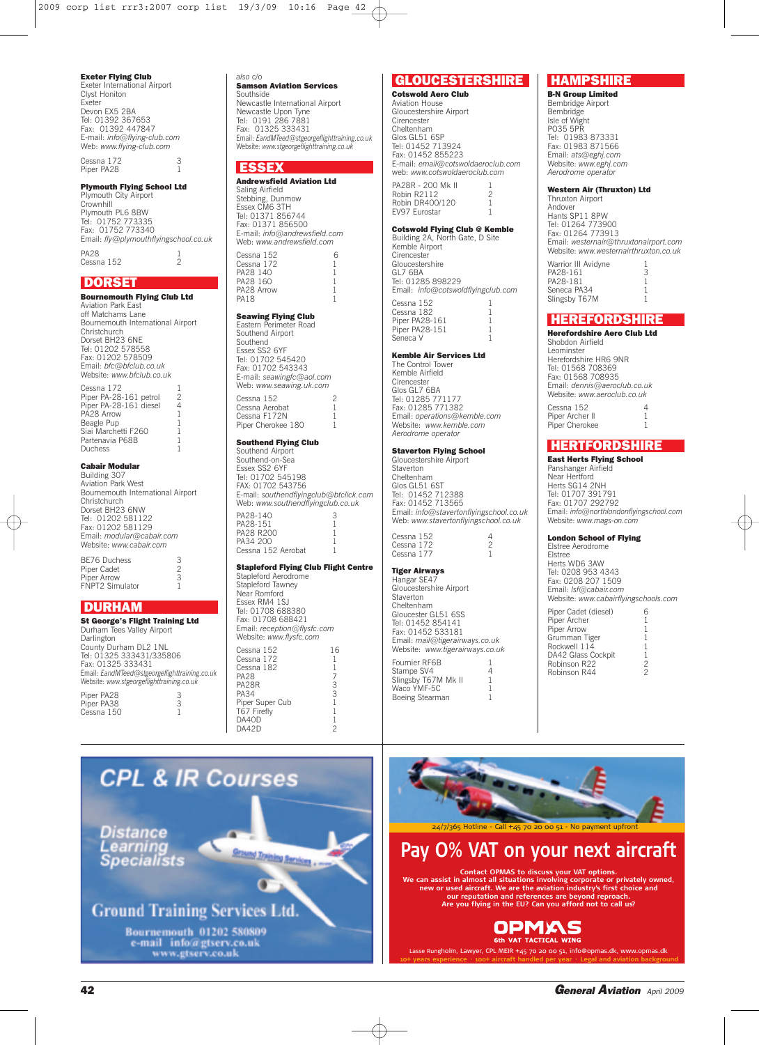**Exeter Flying Club** Exeter International Airport Clyst Honiton Exeter Devon EX5 2BA Tel: 01392 367653 Fax: 01392 447847 E-mail: *info@flying-club.com* Web: *www.flying-club.com* Cessna 172 3 Piper PA28

#### **Plymouth Flying School Ltd**

Plymouth City Airport **Crownhill** Plymouth PL6 8BW Tel: 01752 773335 Fax: 01752 773340 Email: *fly@plymouthflyingschool.co.uk* PA28 1 Cessna 152 2

#### **DORSET**

**Bournemouth Flying Club Ltd** Aviation Park East off Matchams Lane Bournemouth International Airport Christchurch Dorset BH23 6NE Tel: 01202 578558 Fax: 01202 578509 Email: *bfc@bfclub.co.uk* Website: *www.bfclub.co.uk*

Cessna 172 1 Piper PA-28-161 petrol 2 Piper PA-28-161 diesel 4 PA28 Arrow<br>Beagle Pup Beagle Pup<br>Siai Marchetti F260 1<br>Partenavia P68B 1 Puchess 1

#### **Cabair Modular**

Building 307 Aviation Park West Bournemouth International Airport Christchurch Dorset BH23 6NW Tel: 01202 581122 Fax: 01202 581129 Email: *modular@cabair.com* Website: *www.cabair.com*

BE76 Duchess 3<br>Piner Cadet 2 Piper Cadet<br>Piper Cadet 2<br>Piper Arrow 3 Piper Arrow 3 FNPT2 Simulator 1

#### **DURHAM**

**St George's Flight Training Ltd** Durham Tees Valley Airport Darlington County Durham DL2 1NL Tel: 01325 333431/335806 Fax: 01325 333431 Email: *EandMTeed@stgeorgeflighttraining.co.uk* Website: *www.stgeorgeflighttraining.co.uk* Piper PA28 3<br>Piper PA38 3

Piper PA38 3<br>Cessna 150 3 Cessna 150

#### *also* c/o **Samson Aviation Services** Southside

Newcastle International Airport Newcastle Upon Tyne Tel: 0191 286 7881 Fax: 01325 333431 Email: *EandMTeed@stgeorgeflighttraining.co.uk* Website: *www.stgeorgeflighttraining.co.uk*

#### **ESSEX**

**Andrewsfield Aviation Ltd** Saling Airfield Stebbing, Dunmow Essex CM6 3TH Tel: 01371 856744 Fax: 01371 856500 E-mail: *info@andrewsfield.com* Web: *www.andrewsfield.com*

| Cessna 152<br>Cessna 172<br>PA28 140<br>PA28 160<br>PA28 Arrow<br><b>PA18</b> |  |
|-------------------------------------------------------------------------------|--|
|                                                                               |  |

#### **Seawing Flying Club**

Eastern Perimeter Road Southend Airport Southend Essex SS<sub>2</sub> 6YF Tel: 01702 545420 Fax: 01702 543343 E-mail: *seawingfc@aol.com* Web: *www.seawing.uk.com* Cessna 152 2

Cessna Aerobat Cessna F172N 1 Piper Cherokee 180

#### **Southend Flying Club**

Southend Airport Southend-on-Sea Essex SS2 6YF Tel: 01702 545198 FAX: 01702 543756 E-mail: *southendflyingclub@btclick.com* Web: *www.southendflyingclub.co.uk* PA28-140 PA28-151 PA28 R200 PA34 200 Cessna 152 Aerobat

#### **Stapleford Flying Club Flight Centre**

Stapleford Aerodrome Stapleford Tawney Near Romford Essex RM4 1SJ Tel: 01708 688380 Fax: 01708 688421 Email: *reception@flysfc.com* Website: *www.flysfc.com* Cessna 152 16<br>Cessna 172 1 Cessna 172 1<br>Cessna 182 1 Cessna 182 PA28 7<br>PA28 7<br>PA28R 3 PA28R 3<br>PA34 3 PA34 3<br>Piner Suner Cub 3 Piper Super Cub 1 T67 Firefly 1<br>DA40D 1 DA40D 1<br>DA42D 2  $DA42D$ 

#### **GLOUCESTERSHIRE**

**Cotswold Aero Club** Aviation House Gloucestershire Airport **Cirencester** Cheltenham Glos GL51 6SP Tel: 01452 713924 Fax: 01452 855223 E-mail: *email@cotswoldaeroclub.com* web: *www.cotswoldaeroclub.com* PA28R - 200 Mk II 1<br>Pobin P2112

Robin R2112 2 Robin DR400/120 1 EV97 Eurostar 1

#### **Cotswold Flying Club @ Kemble**

Building 2A, North Gate, D Site Kemble Airport **Cirencester** Gloucestershire GL7 6BA Tel: 01285 898229 Email: *info@cotswoldflyingclub.com* Cessna  $152$   $122$   $132$   $132$ Cessna 182 1 Piper PA28-161 1 Piper PA28-151 1

#### **Kemble Air Services Ltd**

Seneca V

The Control Tower Kemble Airfield **Cirencester** Glos GL7 6BA Tel: 01285 771177 Fax: 01285 771382 Email: *operations@kemble.com* Website: *www.kemble.com Aerodrome operator*

#### **Staverton Flying School**

Gloucestershire Airport **Staverton** Cheltenham Glos GL51 6ST Tel: 01452 712388 Fax: 01452 713565 Email: *info@stavertonflyingschool.co.uk* Web: *www.stavertonflyingschool.co.uk*

| Cessna 152 |  |  |
|------------|--|--|
| Cessna 172 |  |  |
| Cessna 177 |  |  |
|            |  |  |

#### **Tiger Airways**

Hangar SE47 Gloucestershire Airport **Staverton** Cheltenham Gloucester GL51 6SS Tel: 01452 854141 Fax: 01452 533181 Email: *mail@tigerairways.co.uk* Website: *www.tigerairways.co.uk* Fournier RF6B<br>Stampe SV4 1 Stampe SV4 14<br>Slingsby T67M Mk II 11 Waco YMF-5C 1<br>Boeing Stearman 1 Boeing Stearman

#### **HAMPSHIRE**

**B-N Group Limited** Bembridge Airport Bembridge Isle of Wight PO35 5PR Tel: 01983 873331 Fax: 01983 871566 Email: *ats@eghj.com* Website: *www.eghj.com Aerodrome operator*

#### **Western Air (Thruxton) Ltd**

Thruxton Airport Andover Hants SP11 8PW Tel: 01264 773900 Fax: 01264 773913 Email: *westernair@thruxtonairport.com* Website: *www.westernairthruxton.co.uk* Warrior III Avidyne  $P_{A28-161}$  3<br> $P_{A28-181}$  3 PA28-181 Seneca PA34 1<br>Slingshy T67M 1 Slingsby T67M

#### **HEREFORDSHIRE**

**Herefordshire Aero Club Ltd** Shobdon Airfield Leominster Herefordshire HR6 9NR Tel: 01568 708369 Fax: 01568 708935 Email: *dennis@aeroclub.co.uk* Website: *www.aeroclub.co.uk* Cessna 152 4

Piper Archer II<br>Piper Cherokee 1 Piper Cherokee

#### **HERTFORDSHIRE East Herts Flying School**

Panshanger Airfield Near Hertford Herts SG14 2NH Tel: 01707 391791 Fax: 01707 292792 Email: *info@northlondonflyingschool.com* Website: *www.mags-on.com*

#### **London School of Flying**

Elstree Aerodrome Elstree Herts WD6 3AW Tel: 0208 953 4343 Fax: 0208 207 1509 Email: *lsf@cabair.com* Website: *www.cabairflyingschools.com*

| Piper Cadet (diesel) |   |
|----------------------|---|
| Piper Archer         | 1 |
| Piper Arrow          | 1 |
| Grumman Tiger        | 1 |
| Rockwell 114         | 1 |
| DA42 Glass Cockpit   | 1 |
| Robinson R22         | 2 |
| Robinson R44         | 2 |
|                      |   |





# **OPMYS**

**10+ years experience · 100+ aircraft handled per year · Legal and aviation background** Lasse Rungholm, Lawyer, CPL MEIR +45 70 20 00 51, info@opmas.dk, www.opmas.dk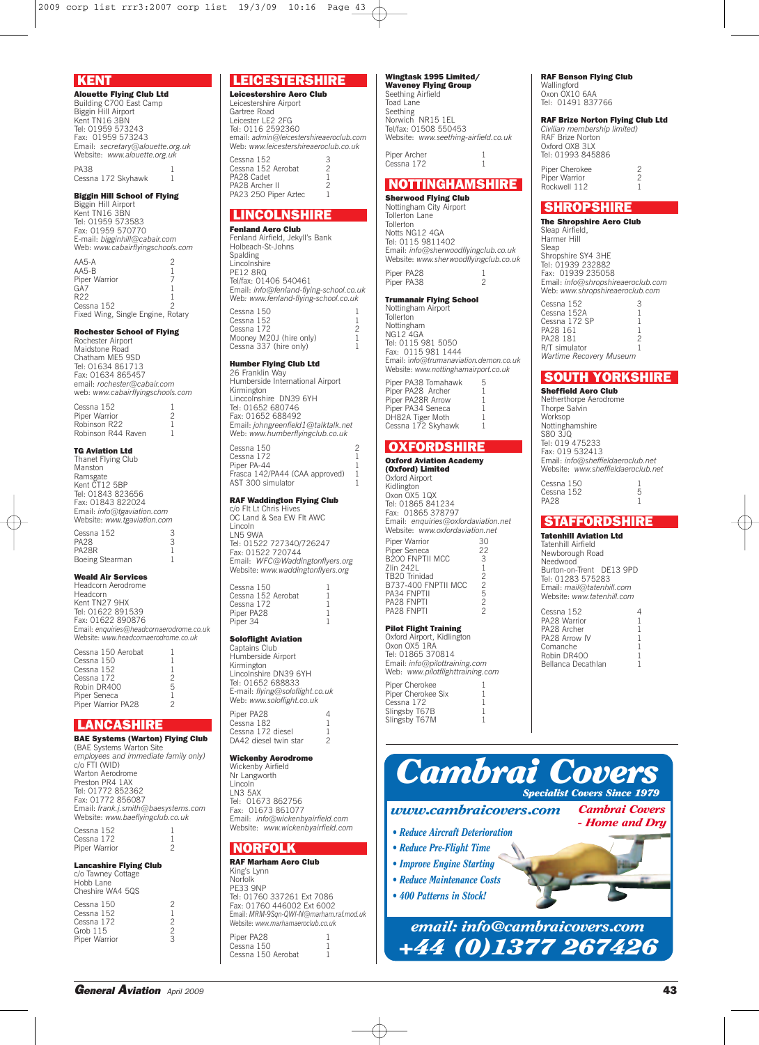#### **KENT**

**Alouette Flying Club Ltd** Building C700 East Camp Biggin Hill Airport Kent TN16 3BN Tel: 01959 573243 Fax: 01959 573243 Email: *secretary@alouette.org.uk* Website: *www.alouette.org.uk* PA38 1 Cessna 172 Skyhawk 1

#### **Biggin Hill School of Flying**

Biggin Hill Airport Kent TN16 3BN Tel: 01959 573583 Fax: 01959 570770 E-mail: *bigginhill@cabair.com* Web: *www.cabairflyingschools.com*

| $A$ A5-A                          | 2 |
|-----------------------------------|---|
| $A$ A5-B                          |   |
| Piper Warrior                     |   |
| GA7                               |   |
| R <sub>22</sub>                   |   |
| Cessna 152                        | 2 |
| Fixed Wing, Single Engine, Rotary |   |

#### **Rochester School of Flying**

Rochester Airport Maidstone Road Chatham ME5 9SD Tel: 01634 861713 Fax: 01634 865457 email: *rochester@cabair.com* web: *www.cabairflyingschools.com*

Cessna 152 Piper Warrior Robinson R22 1<br>Robinson R44 Raven 1 Robinson R44 Raven

#### **TG Aviation Ltd**

Thanet Flying Club Manston Ramsgate Kent CT12 5BP Tel: 01843 823656 Fax: 01843 822024 Email: *info@tgaviation.com* Website: *www.tgaviation.com* Cessna 152  $\frac{3}{3}$ PA<sub>28</sub> rves<br>PA28R 1<br>Boeing Stearman 1 Boeing Stearman 1

#### **Weald Air Services**

Headcorn Aerodrome **Headcorn** Kent TN27 9HX Tel: 01622 891539 Fax: 01622 890876 Email: *enquiries@headcornaerodrome.co.uk* Website: *www.headcornaerodrome.co.uk*

Cessna 150 Aerobat  $Cessna 150$ Cessna 150<br>Cessna 152 1<br>Cessna 172 2 Cessna 172 2<br>Robin DR400 5 Problin DR400 5<br>Piner Seneca 1 Piper Seneca 1 Piper Warrior PA28 2

#### **LANCASHIRE**

**BAE Systems (Warton) Flying Club**

(BAE Systems Warton Site *employees and immediate family only)* c/o FTI (WID) Warton Aerodrome Preston PR4 1AX Tel: 01772 852362 Fax: 01772 856087 Email: *frank.j.smith@baesystems.com* Website: *www.baeflyingclub.co.uk* Cessna 152 Cessna 172 1 Piper Warrior 2

**Lancashire Flying Club** c/o Tawney Cottage Hobb Lane Cheshire WA4 5QS

| Cessna 150    |   |
|---------------|---|
| Cessna 152    |   |
| Cessna 172    | 2 |
| Grob 115      | 2 |
| Piper Warrior | 3 |

#### **LEICESTERSHIRE**

| <b>Leicestershire Aero Club</b><br>Leicestershire Airport<br>Gartree Road<br>Leicester LE2 2FG<br>Tel: 0116 2592360<br>email: admin@leicestershireaeroclub.com |        |  |
|----------------------------------------------------------------------------------------------------------------------------------------------------------------|--------|--|
| Web: www.leicestershireaeroclub.co.uk                                                                                                                          |        |  |
| Cessna 152<br>Cessna 152 Aerobat<br>PA28 Cadet<br>$\Box$ A $\cap$ A $\Box$                                                                                     | 3<br>2 |  |

PA28 Archer II 2 PA23 250 Piper Aztec 1

#### **LINCOLNSHIRE**

**Fenland Aero Club** Fenland Airfield, Jekyll's Bank Holbeach-St-Johns **Spalding** Lincolnshire PE12 8RQ Tel/fax: 01406 540461 Email: *info@fenland-flying-school.co.uk* Web*: www.fenland-flying-school.co.uk* Cessna 150 Cessna 152<br>Cessna 172 12 Cessna 172<br>Moonev M20J (hire only) 1

#### Mooney M20J (hire only) 1<br>Cessna 337 (hire only) 1 Cessna<sup>5</sup>337 (hire only)

**Humber Flying Club Ltd** 26 Franklin Way Humberside International Airport Kirmington Linccolnshire DN39 6YH Tel: 01652 680746 Fax: 01652 688492 Email: *johngreenfield1@talktalk.net* Web: *www.humberflyingclub.co.uk*

Cessna 150 2 Cessna 172<br>Piper PA-44 Piper PA-44 1 Frasca 142/PA44 (CAA approved) 1 AST 300 simulator 1

#### **RAF Waddington Flying Club**

c/o Flt Lt Chris Hives OC Land & Sea EW Flt AWC Lincoln LN5 9WA Tel: 01522 727340/726247 Fax: 01522 720744 Email: *WFC@Waddingtonflyers.org* Website: *www.waddingtonflyers.org*

Cessna 150 cessna 152<br>Cessna 152 Aerobat 1<br>Cessna 172 Cessna 172 Piper PA28<br>Piper PA28 1<br>Piper 34 1  $Piner 34$ 

#### **Soloflight Aviation**

Captains Club Humberside Airport Kirmington Lincolnshire DN39 6YH Tel: 01652 688833 E-mail: *flying@soloflight.co.uk* Web: *www.soloflight.co.uk*

Piper PA28 4<br>Cessna 182 1 Cessna 182 Cessna 172 diesel 1 DA42 diesel twin star

**Wickenby Aerodrome** Wickenby Airfield Nr Langworth **Lincoln** LN3 5AX Tel: 01673 862756 Fax: 01673 861077 Email: *info@wickenbyairfield.com* Website: *www.wickenbyairfield.com*

**NORFOLK RAF Marham Aero Club**

Cessna 150 Aerobat

King's Lynn Norfolk PE33 9NP Tel: 01760 337261 Ext 7086 Fax: 01760 446002 Ext 6002 Email: *MRM-9Sqn-QWI-N@marham.raf.mod.uk* Website: *www.marhamaeroclub.co.uk* Piper PA28 Cessna 150 1

**Wingtask 1995 Limited/ Waveney Flying Group**

Seething Airfield Toad Lane Seething Norwich NR15 1EL Tel/fax: 01508 550453 Website: *www.seething-airfield.co.uk*

Piper Archer Cessna 172

#### **NOTTINGHAMSHIRE**

**Sherwood Flying Club** Nottingham City Airport Tollerton Lane **Tollerton** Notts NG12 4GA Tel: 0115 9811402 Email: *info@sherwoodflyingclub.co.uk* Website: *www.sherwoodflyingclub.co.uk* Piper PA28 Piper PA38

#### **Trumanair Flying School**

Nottingham Airport Tollerton Nottingham NG12 4GA Tel: 0115 981 5050 Fax: 0115 981 1444 Email: i*nfo@trumanaviation.demon.co.uk* Website: *www.nottinghamairport.co.uk*

Piper PA38 Tomahawk 5 Piper PA28 Archer Piper PA28R Arrow 1 Piper PA34 Seneca 1 DH82A Tiger Moth 1 Cessna 172 Skyhawk 1

#### **OXFORDSHIRE**

**Oxford Aviation Academy (Oxford) Limited** Oxford Airport Kidlington Oxon OX5 1QX Tel: 01865 841234 Fax: 01865 378797 Email: *enquiries@oxfordaviation.net* Website: *www.oxfordaviation.net* Piper Warrior 30<br>Piper Seneca 22 Piper Seneca 22 B200 FNPTII MCC 3 zlin 242L<br>TR20 Trinidad 2 TB20 Trinidad 2 B737-400 FNPTII MCC 2 PA34 FNPTII 5 PA28 FNPTI<br>PA28 FNPTI 2 PA28 FNPTI

#### **Pilot Flight Training**

Oxford Airport, Kidlington Oxon OX5 1RA Tel: 01865 370814 Email: *info@pilottraining.com* Web: *www.pilotflighttraining.com* Piner Cherokee 1 Piper Cherokee Six 1<br>Cessna 172 1

Cessna 172 Slingsby T67B<br>Slingsby T67M 1

## **RAF Benson Flying Club**

Wallingford Oxon OX10 6AA Tel: 01491 837766

**RAF Brize Norton Flying Club Ltd** *Civilian membership limited)* RAF Brize Norton

Oxford OX8 3LX Tel: 01993 845886

Piper Cherokee 2<br>Piper Warrior 2 Piper Warrior 2<br>Rockwell 112 1 Rockwell 112

#### **SHROPSHIRE**

**The Shropshire Aero Club** Sleap Airfield, Harmer Hill Sleap Shropshire SY4 3HE Tel: 01939 232882 Fax: 01939 235058 Email: *info@shropshireaeroclub.com* Web: *www.shropshireaeroclub.com*

| Cessna 152              | З |
|-------------------------|---|
| Cessna 152A             |   |
| Cessna 172 SP           |   |
| PA28 161                |   |
| PA28 181                | 2 |
| R/T simulator           |   |
| Wartime Recovery Museum |   |

## **SOUTH YORKSHIRE**

**Sheffield Aero Club** Netherthorpe Aerodrome Thorpe Salvin Worksop

Nottinghamshire S8O 3JQ Tel: 019 475233 Fax: 019 532413 Email: *info@sheffieldaeroclub.net* Website: *www.sheffieldaeroclub.net*

Cessna 150 1<br>Cessna 152 5 Cessna 152 PA28

#### **STAFFORDSHIRE Tatenhill Aviation Ltd**

Tatenhill Airfield Newborough Road Needwood Burton-on-Trent DE13 9PD Tel: 01283 575283 Email: *mail@tatenhill.com* Website: *www.tatenhill.com*

 $C$ essna 152  $\overline{4}$ PA28 Warrior PA28 Archer Comanche 1 Robin DR400 1 Bellanca Decathlan 1



# PA28 Arrow IV<br>Comanche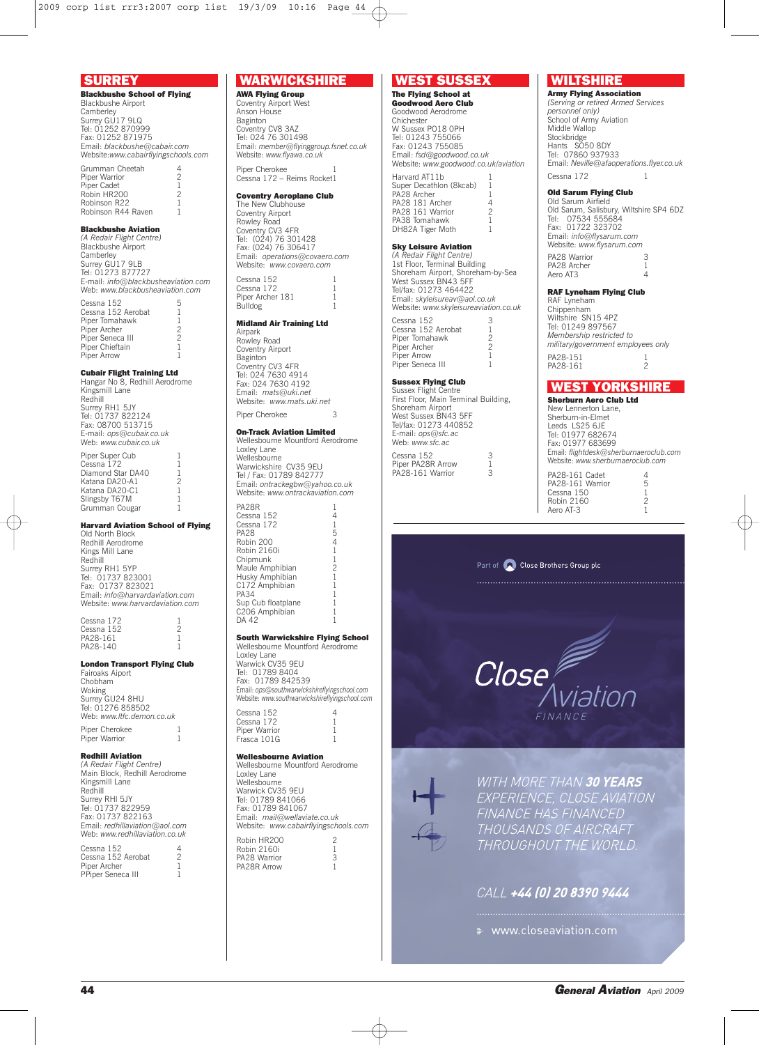#### **SURREY**

**Blackbushe School of Flying** Blackbushe Airport Camberley Surrey GU17 9LQ Tel: 01252 870999 Fax: 01252 871975 Email: *blackbushe@cabair.com* Website:*www.cabairflyingschools.com*

Grumman Cheetah 4 Piper Warrior 2 Piper Cadet 1 Robin HR200 2 Robinson R22 1<br>Robinson R44 Raven 1 Robinson R44 Raven

#### **Blackbushe Aviation**

*(A Redair Flight Centre)* Blackbushe Airport Camberley Surrey GU17 9LB Tel: 01273 877727 E-mail: *info@blackbusheaviation.com* Web: *www.blackbusheaviation.com*

Cessna 152 5<br>Cessna 152 Aerobat 1 Cessna 152 Aerobat 1 Piper Tomahawk 1 Piper Archer 2 Piper Arener<br>Piper Seneca III 2<br>Piper Chieftain 1 Piper Chieftain Piper Arrow

#### **Cubair Flight Training Ltd**

Hangar No 8, Redhill Aerodrome Kingsmill Lane Redhill Surrey RH1 5JY Tel: 01737 822124 Fax: 08700 513715 E-mail: *ops@cubair.co.uk* Web: *www.cubair.co.uk* Piper Super Cub 1 Cessna 172 Diamond Star DA40 1 Katana DA20-A1 2 Katana DA20-C1 Slingsby T67M Grumman Cougar 1

#### **Harvard Aviation School of Flying**

Old North Block Redhill Aerodrome Kings Mill Lane Redhill Surrey RH1 5YP Tel: 01737 823001 Fax: 01737 823021 Email: *info@harvardaviation.com* Website: *www.harvardaviation.com*

Cessna  $172$   $12$   $22$   $22$ Cessna 152 2 PA28-161 1 PA28-140 1

#### **London Transport Flying Club**

Fairoaks Aiport Chobham Woking Surrey GU24 8HU Tel: 01276 858502 Web: *www.ltfc.demon.co.uk* Piper Cherokee 1

#### Piper Warrior

**Redhill Aviation** *(A Redair Flight Centre)* Main Block, Redhill Aerodrome

Kingsmill Lane Redhill Surrey RHl 5JY Tel: 01737 822959 Fax: 01737 822163 Email: *redhillaviation@aol.com* Web: *www.redhillaviation.co.uk*

Cessna 152<br>Cessna 152 Aerobat 2 Cessna 152 Aerobat<br>Piper Archer Piner Archer PPiper Seneca III

#### **WARWICKSHIRE**

**AWA Flying Group** Coventry Airport West Anson House Baginton Coventry CV8 3AZ Tel: 024 76 301498 Email: *member@flyinggroup.fsnet.co.uk* Website: *www.flyawa.co.uk*

Piper Cherokee 1 Cessna 172 – Reims Rocket1

#### **Coventry Aeroplane Club**

The New Clubhouse Coventry Airport Rowley Road Coventry CV3 4FR Tel: (024) 76 301428 Fax: (024) 76 306417 Email: *operations@covaero.com* Website: *www.covaero.com* Cessna 152 Cessna 172 1<br>Piper Archer 181 1

#### **Midland Air Training Ltd**

Bulldog

Airpark Rowley Road Coventry Airport **Baginton** Coventry CV3 4FR Tel: 024 7630 4914 Fax: 024 7630 4192 Email: *mats@uki.net* Website: *www.mats.uki.net* Piper Cherokee 3

#### **On-Track Aviation Limited**

Wellesbourne Mountford Aerodrome Loxley Lane Wellesbourne Warwickshire CV35 9EU Tel / Fax: 01789 842777 Email: *ontrackegbw@yahoo.co.uk* Website: *www.ontrackaviation.com*

| PA28R              |   |
|--------------------|---|
| Cessna 152         |   |
| Cessna 172         | 1 |
| <b>PA28</b>        | 5 |
| Robin 200          | 4 |
| Robin 2160i        | 1 |
| Chipmunk           | 1 |
| Maule Amphibian    | 2 |
| Husky Amphibian    | 1 |
| C172 Amphibian     | 1 |
| PA34               | 1 |
| Sup Cub floatplane | 1 |
| C206 Amphibian     | 1 |
| DA 42              |   |
|                    |   |

#### **South Warwickshire Flying School** Wellesbourne Mountford Aerodrome

Loxley Lane Warwick CV35 9EU Tel: 01789 8404 Fax: 01789 842539 Email: *ops@southwarwickshireflyingschool.com* Website: *www.southwarwickshireflyingschool.com*

 $C \text{e}$ ssna 152  $4$ Cessna 172<br>Piner Warrior 1 Piper Warrior 1<br>Frasca 101G 1  $Fr<sub>asca</sub> 101G$ 

#### **Wellesbourne Aviation**

Wellesbourne Mountford Aerodrome Loxley Lane Wellesbourne Warwick CV35 9EU Tel: 01789 841066 Fax: 01789 841067 Email: *mail@wellaviate.co.uk* Website: *www.cabairflyingschools.com*

Robin HR200 Robin 2160i 1 PA28 Warrior 3 PA28R Arrow 1

#### **WEST SUSSEX**

**The Flying School at Goodwood Aero Club** Goodwood Aerodrome Chichester W Sussex PO18 0PH Tel: 01243 755066 Fax: 01243 755085 Email: *fsd@goodwood.co.uk* Website: *www.goodwood.co.uk/aviation* Harvard AT11b 1 Super Decathlon (8kcab) PA28 Archer 1 PA28 181 Archer 4 PA28 161 Warrior 2 PA38 Tomahawk 1<br>DH82A Tiger Moth 1 DH82A Tiger Moth

#### **Sky Leisure Aviation**

*(A Redair Flight Centre)* 1st Floor, Terminal Building Shoreham Airport, Shoreham-by-Sea West Sussex BN43 5FF Tel/fax: 01273 464422 Email: *skyleisureav@aol.co.uk* Website: *www.skyleisureaviation.co.uk* Cessna 152 3<br>Cessna 152 Aerobat 1

Cessna 152 Aerobat 1 Piper Tomahawk 2 Piper Archer 2 Piper Arrow 1<br>Piper Seneca III 1 Piper Seneca III

#### **Sussex Flying Club**

Sussex Flight Centre First Floor, Main Terminal Building, Shoreham Airport West Sussex BN43 5FF Tel/fax: 01273 440852 E-mail: *ops@sfc.ac* Web: *www.sfc.ac* Cessna 152 3 Piper PA28R Arrow 1<br>PA28-161 Warrior 3 PA28-161 Warrior

#### **WILTSHIRE**

**Army Flying Association** *(Serving or retired Armed Services personnel only)* School of Army Aviation Middle Wallop **Stockbridge** Hants SO50 8DY Tel: 07860 937933 Email: *Neville@afaoperations.flyer.co.uk*

#### **Old Sarum Flying Club**

Cessna 172 1

Old Sarum Airfield Old Sarum, Salisbury, Wiltshire SP4 6DZ Tel: 07534 555684 Fax: 01722 323702 Email: *info@flysarum.com* Website: *www.flysarum.com* PA28 Warrior 3 PA28 Archer 1<br>Aero AT3 1 Aero AT3

#### **RAF Lyneham Flying Club** RAF Lyneham

Chippenham Wiltshire SN15 4PZ Tel: 01249 897567 *Membership restricted to military/government employees only* PA28-151 1<br>PA28-161 2 PA28-161

#### **WEST YORKSHIRE**

**Sherburn Aero Club Ltd** New Lennerton Lane, Sherburn-in-Elmet Leeds LS25 6JE Tel: 01977 682674 Fax: 01977 683699 Email: *flightdesk@sherburnaeroclub.com* Website: *www.sherburnaeroclub.com*

| PA28-161 Cadet   | 4 |
|------------------|---|
| PA28-161 Warrior | 5 |
| Cessna 150       | 1 |
| Robin 2160       | 2 |
| Aero AT-3        | 1 |
|                  |   |

#### Part of Colose Brothers Group plc



WITH MORE THAN 30 YEARS EXPERIENCE, CLOSE AVIATION **FINANCE HAS FINANCED** THOUSANDS OF AIRCRAFT THROUGHOUT THE WORLD.

#### CALL +44 (0) 20 8390 9444

www.closeaviation.com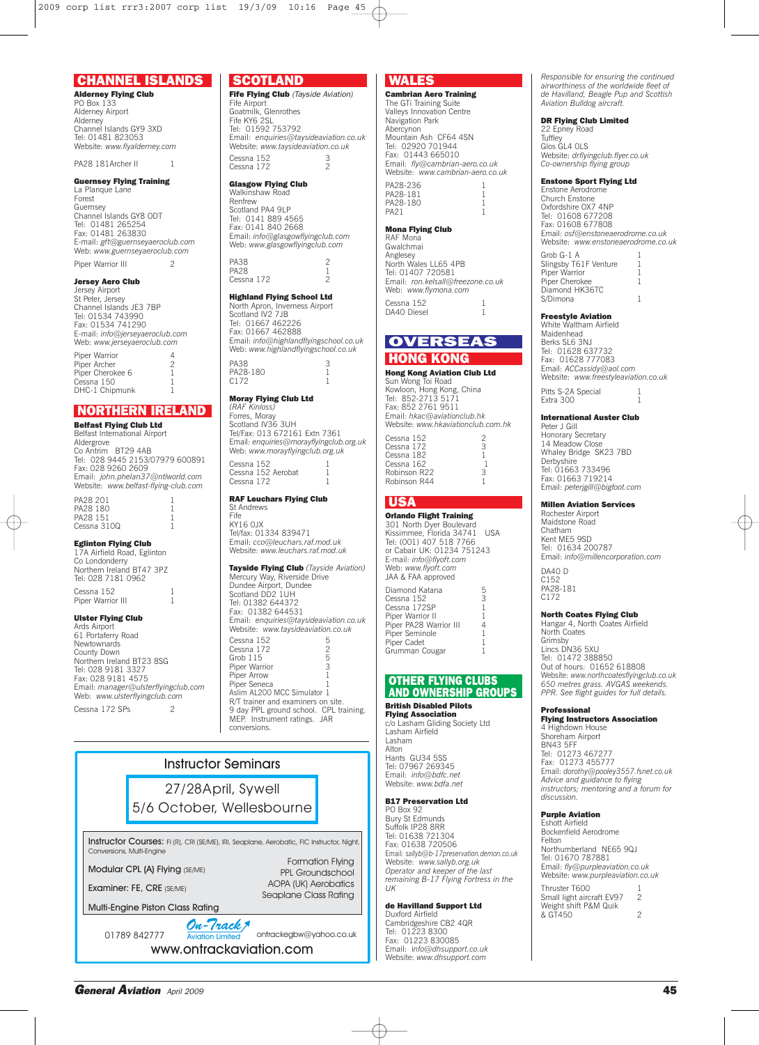#### **CHANNEL ISLANDS**

**Alderney Flying Club** PO Box 133 Alderney Airport Alderney Channel Islands GY9 3XD Tel: 01481 823053 Website: *www.flyalderney.com*

PA28 181Archer II

**Guernsey Flying Training** La Planque Lane Forest Guernsey Channel Islands GY8 ODT Tel: 01481 265254 Fax: 01481 263830 E-mail: *gft@guernseyaeroclub.com* Web: *www.guernseyaeroclub.com* Piner Warrior III 2

#### **Jersey Aero Club** Jersey Airport

St Peter, Jersey Channel Islands JE3 7BP Tel: 01534 743990 Fax: 01534 741290 E-mail: *info@jerseyaeroclub.com* Web: *www.jerseyaeroclub.com* Piper Warrior Piper Archer 2 Piper Cherokee 6  $C<sub>e</sub>ssna<sub>150</sub>$ DHC-1 Chipmunk

#### **NORTHERN IRELAND**

**Belfast Flying Club Ltd**

Belfast International Airport Aldergrove Co Antrim BT29 4AB Tel: 028 9445 2153/07979 600891 Fax: 028 9260 2609 Email: *john.phelan37@ntlworld.com* Website: *www.belfast-flying-club.com*

PA28 201 PA28 180 PA28 151  $Cessna 3100$ 

#### **Eglinton Flying Club**

17A Airfield Road, Eglinton Co Londonderry Northern Ireland BT47 3PZ Tel: 028 7181 0962

Cessna 152 Piper Warrior III

#### **Ulster Flying Club**

Ards Airport 61 Portaferry Road Newtownards County Down Northern Ireland BT23 8SG Tel: 028 9181 3327 Fax: 028 9181 4575 Email: *manager@ulsterflyingclub.com* Web: *www.ulsterflyingclub.com* Cessna 172 SPs 2

#### **SCOTLAND**

**Fife Flying Club** *(Tayside Aviation)* Fife Airport Goatmilk, Glenrothes Fife KY6 2SL Tel: 01592 753792 Email: *enquiries@taysideaviation.co.uk* Website: *www.taysideaviation.co.uk* Cessna 152<br>Cessna 172 3 Cessna 172

#### **Glasgow Flying Club**

Walkinshaw Road Renfrew Scotland PA4 9LP Tel: 0141 889 4565 Fax: 0141 840 2668 Email: *info@glasgowflyingclub.com* Web: *www.glasgowflyingclub.com*

#### PA38<br>PA28 PA28 1 Cessna 172 2

**Highland Flying School Ltd** North Apron, Inverness Airport Scotland IV2 7JB Tel: 01667 462226 Fax: 01667 462888 Email: *info@highlandflyingschool.co.uk* Web: *www.highlandflyingschool.co.uk* PA38 3 PA28-180 1<br>C172 1

#### **Moray Flying Club Ltd**

C172

*(RAF Kinloss)* Forres, Moray Scotland IV36 3UH Tel/Fax: 013 672161 Extn 7361 Email: *enquiries@morayflyingclub.org.uk* Web: *www.morayflyingclub.org.uk* Cessna 152 1 Cessna 152 Aerobat 1 Cessna 172

**RAF Leuchars Flying Club** St Andrews Fife  $KY1601X$ Tel/fax: 01334 839471 Email: *cco@leuchars.raf.mod.uk* Website: *www.leuchars.raf.mod.uk*

**Tayside Flying Club** *(Tayside Aviation)* Mercury Way, Riverside Drive Dundee Airport, Dundee Scotland DD2 1UH Tel: 01382 644372 Fax: 01382 644531 Email: *enquiries@taysideaviation.co.uk* Website: *www.taysideaviation.co.uk* Cessna 152 5 Cessna 172 2<br>Grob 115 5

Grob 115 5 Piper Warrior Piper Arrow<br>Piper Seneca Piper Seneca 1 Aslim AL200 MCC Simulator 1 R/T trainer and examiners on site. 9 day PPL ground school. CPL training. MEP. Instrument ratings. JAR conversions.

#### 27/28April, Sywell  $2$ otober Wellocho 5/6 October, Wellesbourne Instructor Seminars

Instructor Courses: FI (R), CRI (SE/ME), IRI, Seaplane, Aerobatic, FIC Instructor, Night, ns, Multi-Engine

PPL Groundschool

Seaplane Class Rating AOPA (UK) Aerobatics

Multi-Engine Piston Class Rating

#### On-Track Aviation Limited 01789 842777 **ontrackegbw@yahoo.co.uk**

www.ontrackaviation.com

#### **WALES**

**Cambrian Aero Training** The GTi Training Suite Valleys Innovation Centre Navigation Park Abercynon Mountain Ash CF64 4SN Tel: 02920 701944 Fax: 01443 665010 Email: *fly@cambrian-aero.co.uk* Website: *www.cambrian-aero.co.uk* PA28-236 1 PA28-181

PA28-180 1<br>PA28-180 1<br>PA21 1  $P_A21$ 

#### **Mona Flying Club** RAF Mona

Gwalchmai Anglesey North Wales LL65 4PB Tel: 01407 720581 Email: *ron.kelsall@freezone.co.uk* Web: *www.flymona.com* Cessna 152 1<br>DA40 Diesel 1 DA40 Diesel 1

#### **OVERSEAS**

#### **HONG KONG**

**Hong Kong Aviation Club Ltd** Sun Wong Toi Road Kowloon, Hong Kong, China Tel: 852-2713 5171

Fax: 852 2761 9511 Email: *hkac@aviationclub.hk* Website: *www.hkaviationclub.com.hk*

| Cessna 152   | 2 |
|--------------|---|
| Cessna 172   | 3 |
| Cessna 182   |   |
| Cessna 162   |   |
| Robinson R22 | 3 |
| Robinson R44 |   |
|              |   |

#### **USA**

**Orlando Flight Training** 301 North Dyer Boulevard Kissimmee, Florida 34741 USA Tel: (001) 407 518 7766 or Cabair UK: 01234 751243 E-mail: *info@flyoft.com* Web: *www.flyoft.com* JAA & FAA approved Diamond Katana 5 Cessna 152 3

| Cessna 152             | ۰, |
|------------------------|----|
| Cessna 172SP           |    |
| Piper Warrior II       |    |
| Piper PA28 Warrior III | Δ  |
| Piper Seminole         |    |
| Piper Cadet            |    |
| Grumman Cougar         |    |

#### **OTHER FLYING CLUBS AND OWNERSHIP GROUPS**

#### **British Disabled Pilots**

**Flying Association** c/o Lasham Gliding Society Ltd Lasham Airfield Lasham Alton Hants GU34 5SS Tel: 07967 269345 Email: *info@bdfc.net* Website: *www.bdfa.net*

#### **B17 Preservation Ltd**

PO Box 92 Bury St Edmunds Suffolk IP28 8RR Tel: 01638 721304 Fax: 01638 720506 Email: *sallyb@b-17preservation.demon.co.uk* Website: *www.sallyb.org.uk Operator and keeper of the last remaining B-17 Flying Fortress in the UK*

#### **de Havilland Support Ltd**

Duxford Airfield Cambridgeshire CB2 4QR Tel: 01223 8300 Fax: 01223 830085 Email: i*nfo@dhsupport.co.uk* Website: *www.dhsupport.com*

*Responsible for ensuring the continued airworthiness of the worldwide fleet of de Havilland, Beagle Pup and Scottish Aviation Bulldog aircraft.*

#### **DR Flying Club Limited**

22 Epney Road **Tuffley** Glos GL4 OLS Website: *drflyingclub.flyer.co.uk Co-ownership flying group*

#### **Enstone Sport Flying Ltd**

Enstone Aerodrome Church Enstone Oxfordshire OX7 4NP Tel: 01608 677208 Fax: 01608 677808 Email: *osf@enstoneaerodrome.co.uk* Website: *www.enstoneaerodrome.co.uk*

| Grob G-1 A            |   |
|-----------------------|---|
| Slingsby T61F Venture | 1 |
| Piper Warrior         |   |
| Piper Cherokee        |   |
| Diamond HK36TC        |   |
| S/Dimona              |   |
|                       |   |

#### **Freestyle Aviation** White Waltham Airfield

Maidenhead Berks SL6 3NJ Tel: 01628 637732 Fax: 01628 777083 Email: *ACCassidy@aol.com* Website: *www.freestyleaviation.co.uk* Pitts S-2A Special

#### **International Auster Club**

Extra 300

Peter J Gill Honorary Secretary 14 Meadow Close Whaley Bridge SK23 7BD **Derbyshire** Tel: 01663 733496 Fax: 01663 719214 Email: *peterjgill@bigfoot.com*

#### **Millen Aviation Services**

Rochester Airport Maidstone Road Chatham Kent ME5 9SD Tel: 01634 200787 Email: *info@millencorporation.com* DA40 D

C152 PA28-181 C172

#### **North Coates Flying Club**

Hangar 4, North Coates Airfield North Coates Grimsby Lincs DN36 5XU Tel: 01472 388850 Out of hours: 01652 618808 Website: *www.northcoatesflyingclub.co.uk 650 metres grass. AVGAS weekends. PPR. See flight guides for full details.*

#### **Professional**

**Flying Instructors Association** 4 Highdown House Shoreham Airport BN43 5FF Tel: 01273 467277 Fax: 01273 455777 Email: *dorothy@pooley3557.fsnet.co.uk Advice and guidance to flying instructors; mentoring and a forum for discussion.*

#### **Purple Aviation**

Eshott Airfield Bockenfield Aerodrome Felton Northumberland NE65 9QJ Tel: 01670 787881 Email: *fly@purpleaviation.co.uk* Website: *www.purpleaviation.co.uk* Thruster T600 1 Small light aircraft EV97 2 Weight shift P&M Quik & GT450 2

Examiner: FE, CRE (SE/ME)

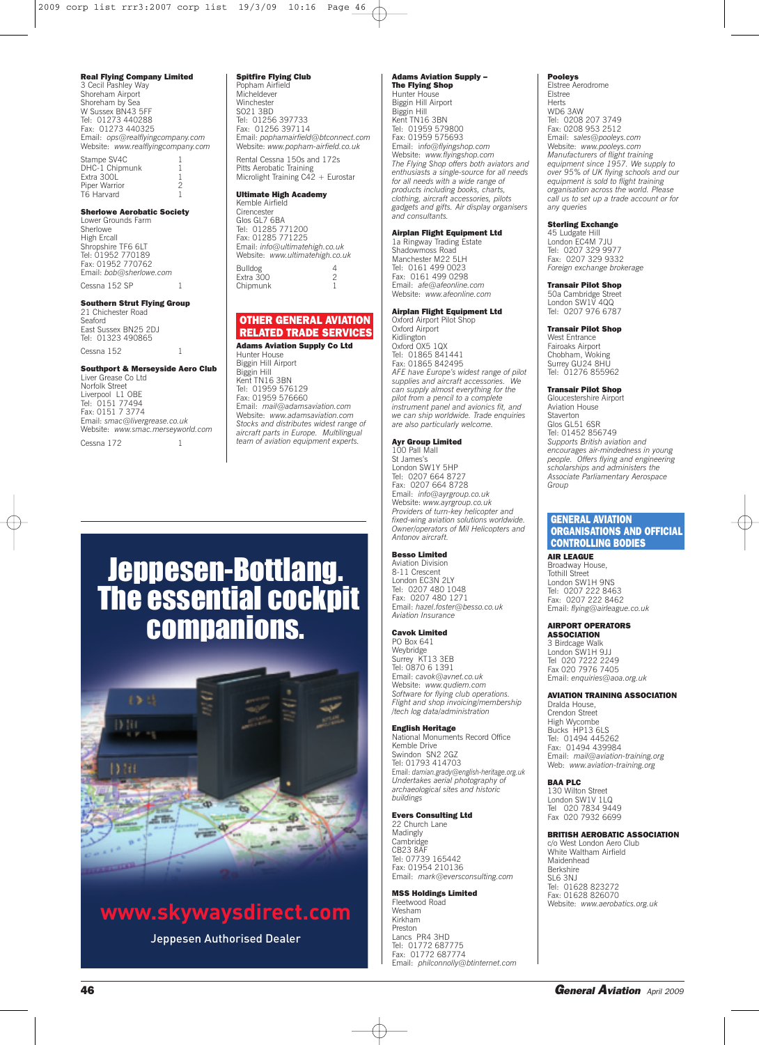#### **Real Flying Company Limited**

3 Cecil Pashley Way Shoreham Airport Shoreham by Sea W Sussex BN43 5FF Tel: 01273 440288 Fax: 01273 440325 Email: *ops@realflyingcompany.com* Website: *www.realflyingcompany.com* Stampe SV4C DHC-1 Chipmunk Extra 300L 1 Piper Warrior 2 T6 Harvard

#### **Sherlowe Aerobatic Society**

Lower Grounds Farm Sherlowe High Ercall Shropshire TF6 6LT Tel: 01952 770189 Fax: 01952 770762 Email: *bob@sherlowe.com* Cessna 152 SP

#### **Southern Strut Flying Group**

21 Chichester Road Seaford East Sussex BN25 2DJ Tel: 01323 490865 Cessna 152 1

#### **Southport & Merseyside Aero Club**

Liver Grease Co Ltd Norfolk Street Liverpool L1 OBE Tel: 0151 77494 Fax: 0151 7 3774 Email: *smac@livergrease.co.uk* Website: *www.smac.merseyworld.com* Cessna 172 1

#### **Spitfire Flying Club**

Popham Airfield Micheldever **Winchester** SO21 3BD Tel: 01256 397733 Fax: 01256 397114 Email: *pophamairfield@btconnect.com* Website: *www.popham-airfield.co.uk* Rental Cessna 150s and 172s Pitts Aerobatic Training Microlight Training C42 + Eurostar

#### **Ultimate High Academy**

Kemble Airfield Cirencester Glos GL7 6BA Tel: 01285 771200 Fax: 01285 771225 Email: *info@ultimatehigh.co.uk* Website: *www.ultimatehigh.co.uk* Bulldog 4<br>Extra 300 2<br>Chipmunk 1  $Extra$  300 **Chipmunk** 

#### **OTHER GENERAL AVIATION RELATED TRADE SERVICES Adams Aviation Supply Co Ltd**

Hunter House Biggin Hill Airport Biggin Hill Kent TN16 3BN Tel: 01959 576129 Fax: 01959 576660 Email: *mail@adamsaviation.com* Website: *www.adamsaviation.com Stocks and distributes widest range of aircraft parts in Europe. Multilingual team of aviation equipment experts.*

# Jeppesen-Bottlang. The essential cockpit companions.



# **www.skywaysdirect.com**

Jeppesen Authorised Dealer

#### **Adams Aviation Supply – The Flying Shop**

Hunter House Biggin Hill Airport Biggin Hill Kent TN16 3BN Tel: 01959 579800 Fax: 01959 575693 Email: i*nfo@flyingshop.com* Website: *www.flyingshop.com The Flying Shop offers both aviators and enthusiasts a single-source for all needs for all needs with a wide range of products including books, charts, clothing, aircraft accessories, pilots gadgets and gifts. Air display organisers and consultants.*

#### **Airplan Flight Equipment Ltd**

1a Ringway Trading Estate Shadowmoss Road Manchester M22 5LH Tel: 0161 499 0023 Fax: 0161 499 0298 Email: *afe@afeonline.com* Website: *www.afeonline.com*

#### **Airplan Flight Equipment Ltd** Oxford Airport Pilot Shop

Oxford Airport Kidlington Oxford OX5 1QX Tel: 01865 841441 Fax: 01865 842495 *AFE have Europe's widest range of pilot supplies and aircraft accessories. We can supply almost everything for the pilot from a pencil to a complete instrument panel and avionics fit, and we can ship worldwide. Trade enquiries are also particularly welcome.*

#### **Ayr Group Limited**

100 Pall Mall St James's London SW1Y 5HP Tel: 0207 664 8727 Fax: 0207 664 8728 Email: *info@ayrgroup.co.uk* Website: *www.ayrgroup.co.uk Providers of turn-key helicopter and fixed-wing aviation solutions worldwide. Owner/operators of Mil Helicopters and Antonov aircraft.*

#### **Besso Limited**

Aviation Division 8-11 Crescent London EC3N 2LY Tel: 0207 480 1048 Fax: 0207 480 1271 Email: *hazel.foster@besso.co.uk Aviation Insurance*

#### **Cavok Limited**

PO Box 641 Weybridge Surrey KT13 3EB Tel: 0870 6 1391 Email: *cavok@avnet.co.uk* Website: *www.qudiem.com Software for flying club operations. Flight and shop invoicing/membership /tech log data/administration*

#### **English Heritage**

National Monuments Record Office Kemble Drive Swindon SN2 2GZ Tel: 01793 414703 Email: *damian.grady@english-heritage.org.uk Undertakes aerial photography of archaeological sites and historic buildings*

#### **Evers Consulting Ltd**

22 Church Lane Madingly **Cambridge** CB23 8AF Tel: 07739 165442 Fax: 01954 210136 Email: *mark@eversconsulting.com*

#### **MSS Holdings Limited**

Fleetwood Road Wesham Kirkham Preston Lancs PR4 3HD Tel: 01772 687775 Fax: 01772 687774 Email: *philconnolly@btinternet.com*

#### **Pooleys**

Elstree Aerodrome Elstree Herts WD6 3AW Tel: 0208 207 3749 Fax: 0208 953 2512 Email: *sales@pooleys.com* Website: *www.pooleys.com Manufacturers of flight training equipment since 1957. We supply to over 95% of UK flying schools and our equipment is sold to flight training organisation across the world. Please call us to set up a trade account or for any queries*

#### **Sterling Exchange**

45 Ludgate Hill London EC4M 7JU Tel: 0207 329 9977 Fax: 0207 329 9332 *Foreign exchange brokerage*

#### **Transair Pilot Shop**

50a Cambridge Street London SW1V 4QQ Tel: 0207 976 6787

#### **Transair Pilot Shop**

West Entrance Fairoaks Airport Chobham, Woking Surrey GU24 8HU Tel: 01276 855962

#### **Transair Pilot Shop** Gloucestershire Airport

Aviation House Staverton Glos GL51 6SR Tel: 01452 856749 *Supports British aviation and encourages air-mindedness in young people. Offers flying and engineering scholarships and administers the Associate Parliamentary Aerospace Group*

#### **GENERAL AVIATION ORGANISATIONS AND OFFICIAL CONTROLLING BODIES**

**AIR LEAGUE** Broadway House, Tothill Street London SW1H 9NS Tel: 0207 222 8463 Fax: 0207 222 8462 Email: *flying@airleague.co.uk*

#### **AIRPORT OPERATORS ASSOCIATION**

3 Birdcage Walk London SW1H 9JJ Tel 020 7222 2249 Fax 020 7976 7405 Email: *enquiries@aoa.org.uk*

#### **AVIATION TRAINING ASSOCIATION**

Dralda House, Crendon Street High Wycombe Bucks HP13 6LS Tel: 01494 445262 Fax: 01494 439984 Email: *mail@aviation-training.org* Web: *www.aviation-training.org*

#### **BAA PLC**

130 Wilton Street London SW1V 1LQ 020 7834 9449 Fax 020 7932 6699

#### **BRITISH AEROBATIC ASSOCIATION**

c/o West London Aero Club White Waltham Airfield Maidenhead Berkshire SL6 3NJ Tel: 01628 823272 Fax: 01628 826070 Website: *www.aerobatics.org.uk*